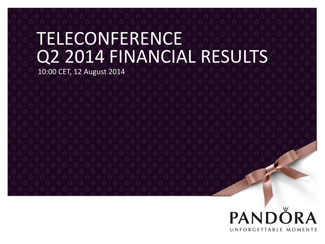# **ECONFERENCE** Q2 2014 FINANCIAL RESU 10:00 CET, 12 August 2014

PANDÖRA UNFORGETTABLE MOMENTS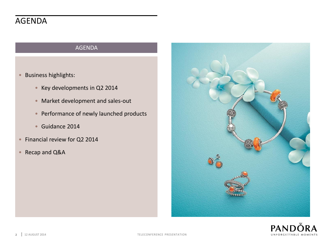### AGENDA

#### AGENDA

• Business highlights:

- Key developments in Q2 2014
- Market development and sales-out
- Performance of newly launched products
- Guidance 2014
- Financial review for Q2 2014
- Recap and Q&A



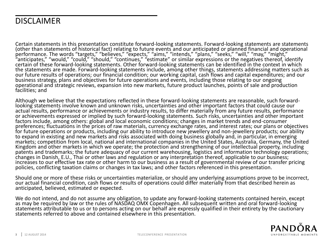### DISCI AIMER

Certain statements in this presentation constitute forward-looking statements. Forward-looking statements are statements (other than statements of historical fact) relating to future events and our anticipated or planned financial and operational performance. The words "targets," "believes," "expects," "aims," "intends," "plans," "seeks," "will," "may," "might," "anticipates," "would," "could," "should," "continues," "estimate" or similar expressions or the negatives thereof, identify certain of these forward-looking statements. Other forward-looking statements can be identified in the context in which the statements are made. Forward-looking statements include, among other things, statements addressing matters such as our future results of operations; our financial condition; our working capital, cash flows and capital expenditures; and our business strategy, plans and objectives for future operations and events, including those relating to our ongoing operational and strategic reviews, expansion into new markets, future product launches, points of sale and production facilities; and

Although we believe that the expectations reflected in these forward-looking statements are reasonable, such forwardlooking statements involve known and unknown risks, uncertainties and other important factors that could cause our actual results, performance or achievements or industry results, to differ materially from any future results, performance or achievements expressed or implied by such forward-looking statements. Such risks, uncertainties and other important factors include, among others: global and local economic conditions; changes in market trends and end-consumer preferences; fluctuations in the prices of raw materials, currency exchange rates, and interest rates; our plans or objectives for future operations or products, including our ability to introduce new jewellery and non-jewellery products; our ability to expand in existing and new markets and risks associated with doing business globally and, in particular, in emerging markets; competition from local, national and international companies in the United States, Australia, Germany, the United Kingdom and other markets in which we operate; the protection and strengthening of our intellectual property, including patents and trademarks; the future adequacy of our current warehousing, logistics and information technology operations; changes in Danish, E.U., Thai or other laws and regulation or any interpretation thereof, applicable to our business; increases to our effective tax rate or other harm to our business as a result of governmental review of our transfer pricing policies, conflicting taxation claims or changes in tax laws; and other factors referenced in this presentation.

Should one or more of these risks or uncertainties materialize, or should any underlying assumptions prove to be incorrect, our actual financial condition, cash flows or results of operations could differ materially from that described herein as anticipated, believed, estimated or expected.

We do not intend, and do not assume any obligation, to update any forward-looking statements contained herein, except as may be required by law or the rules of NASDAQ OMX Copenhagen. All subsequent written and oral forward-looking statements attributable to us or to persons acting on our behalf are expressly qualified in their entirety by the cautionary statements referred to above and contained elsewhere in this presentation.

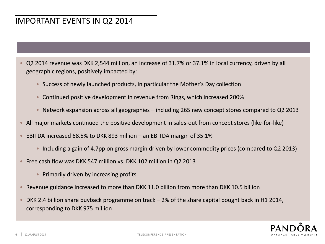## IMPORTANT EVENTS IN Q2 2014

- Q2 2014 revenue was DKK 2,544 million, an increase of 31.7% or 37.1% in local currency, driven by all geographic regions, positively impacted by:
	- Success of newly launched products, in particular the Mother's Day collection
	- Continued positive development in revenue from Rings, which increased 200%
	- Network expansion across all geographies including 265 new concept stores compared to Q2 2013
- All major markets continued the positive development in sales-out from concept stores (like-for-like)
- EBITDA increased 68.5% to DKK 893 million an EBITDA margin of 35.1%
	- Including a gain of 4.7pp on gross margin driven by lower commodity prices (compared to Q2 2013)
- Free cash flow was DKK 547 million vs. DKK 102 million in Q2 2013
	- Primarily driven by increasing profits
- Revenue guidance increased to more than DKK 11.0 billion from more than DKK 10.5 billion
- DKK 2.4 billion share buyback programme on track 2% of the share capital bought back in H1 2014, corresponding to DKK 975 million

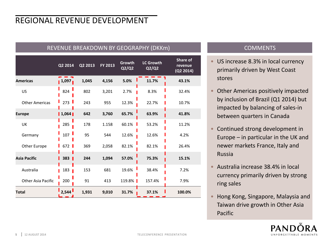### REGIONAL REVENUE DEVELOPMENT

#### REVENUE BREAKDOWN BY GEOGRAPHY (DKKm)

|                           | Q2 2014               | Q2 2013 | FY 2013 | Growth<br>Q2/Q2 | <b>LC Growth</b><br>Q2/Q2 | <b>Share of</b><br>revenue<br>(Q2 2014) |
|---------------------------|-----------------------|---------|---------|-----------------|---------------------------|-----------------------------------------|
| <b>Americas</b>           | $\vert$ 1,097 $\vert$ | 1,045   | 4,156   | 5.0%            | 11.7%                     | 43.1%                                   |
| US                        | 824                   | 802     | 3,201   | 2.7%            | 8.3%                      | 32.4%                                   |
| <b>Other Americas</b>     | 273                   | 243     | 955     | 12.3%           | 22.7%                     | 10.7%                                   |
| <b>Europe</b>             | 1,064                 | 642     | 3,760   | 65.7%           | 63.9%                     | 41.8%                                   |
| UK                        | 285                   | 178     | 1.158   | 60.1%           | 53.2%                     | 11.2%                                   |
| Germany                   | 107                   | 95      | 544     | 12.6%           | 12.6%                     | 4.2%                                    |
| Other Europe              | 672                   | 369     | 2,058   | 82.1%           | 82.1%                     | 26.4%                                   |
| <b>Asia Pacific</b>       | 383                   | 244     | 1,094   | 57.0%           | 75.3%                     | 15.1%                                   |
| Australia                 | 183                   | 153     | 681     | 19.6%           | 38.4%                     | 7.2%                                    |
| <b>Other Asia Pacific</b> | 200                   | 91      | 413     | 119.8%          | 157.4%                    | 7.9%                                    |
| <b>Total</b>              | <sub>2,544</sub>      | 1,931   | 9,010   | 31.7%           | 37.1%                     | 100.0%                                  |

- US increase 8.3% in local currency primarily driven by West Coast stores
- Other Americas positively impacted by inclusion of Brazil (Q1 2014) but impacted by balancing of sales-in between quarters in Canada
- Continued strong development in Europe – in particular in the UK and newer markets France, Italy and Russia
- Australia increase 38.4% in local currency primarily driven by strong ring sales
- Hong Kong, Singapore, Malaysia and Taiwan drive growth in Other Asia Pacific

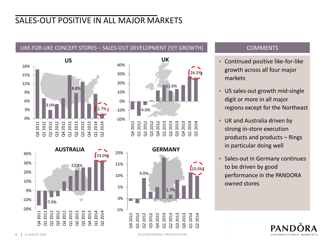## SALES-OUT POSITIVE IN ALL MAJOR MARKETS

#### LIKE-FOR-LIKE CONCEPT STORES – SALES-OUT DEVELOPMENT (Y/Y GROWTH)









- Continued positive like-for-like growth across all four major markets
- US sales-out growth mid-single digit or more in all major regions except for the Northeast
- UK and Australia driven by strong in-store execution products and products – Rings in particular doing well
- Sales-out in Germany continues to be driven by good performance in the PANDORA owned stores

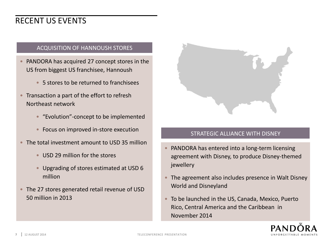### RECENT US EVENTS

#### ACQUISITION OF HANNOUSH STORES

- PANDORA has acquired 27 concept stores in the US from biggest US franchisee, Hannoush
	- 5 stores to be returned to franchisees
- Transaction a part of the effort to refresh Northeast network
	- "Evolution"-concept to be implemented
	- Focus on improved in-store execution
- The total investment amount to USD 35 million
	- USD 29 million for the stores
	- Upgrading of stores estimated at USD 6 million
- The 27 stores generated retail revenue of USD 50 million in 2013



### STRATEGIC ALLIANCE WITH DISNEY

- PANDORA has entered into a long-term licensing agreement with Disney, to produce Disney-themed jewellery
- The agreement also includes presence in Walt Disney World and Disneyland
- To be launched in the US, Canada, Mexico, Puerto Rico, Central America and the Caribbean in November 2014

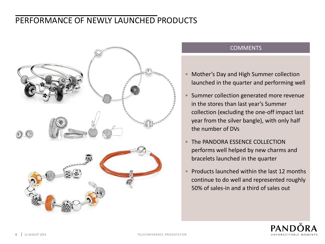### PERFORMANCE OF NEWLY LAUNCHED PRODUCTS



- Mother's Day and High Summer collection launched in the quarter and performing well
- Summer collection generated more revenue in the stores than last year's Summer collection (excluding the one-off impact last year from the silver bangle), with only half the number of DVs
- The PANDORA ESSENCE COLLECTION performs well helped by new charms and bracelets launched in the quarter
- Products launched within the last 12 months continue to do well and represented roughly 50% of sales-in and a third of sales out

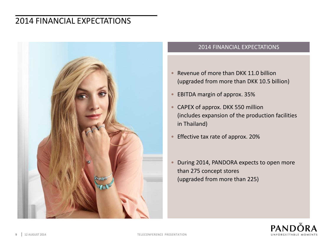### 2014 FINANCIAL EXPECTATIONS



#### 2014 FINANCIAL EXPECTATIONS

- Revenue of more than DKK 11.0 billion (upgraded from more than DKK 10.5 billion)
- EBITDA margin of approx. 35%
- CAPEX of approx. DKK 550 million (includes expansion of the production facilities in Thailand)
- Effective tax rate of approx. 20%
- During 2014, PANDORA expects to open more than 275 concept stores (upgraded from more than 225)

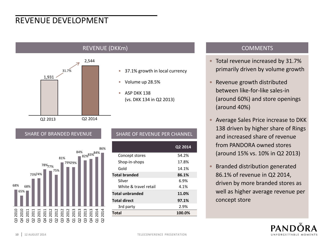### REVENUE DEVELOPMENT



#### REVENUE (DKKm)

- 37.1% growth in local currency
- Volume up 28.5%
- ASP DKK 138 (vs. DKK 134 in Q2 2013)



#### SHARE OF BRANDED REVENUE SHARE OF REVENUE PER CHANNEL

|                        | Q2 2014 |
|------------------------|---------|
| Concept stores         | 54.2%   |
| Shop-in-shops          | 17.8%   |
| Gold                   | 14.1%   |
| <b>Total branded</b>   | 86.1%   |
| Silver                 | 6.9%    |
| White & travel retail  | 4.1%    |
| <b>Total unbranded</b> | 11.0%   |
| <b>Total direct</b>    | 97.1%   |
| 3rd party              | 2.9%    |
| Total                  | 100.0%  |

- Total revenue increased by 31.7% primarily driven by volume growth
- Revenue growth distributed between like-for-like sales-in (around 60%) and store openings (around 40%)
- Average Sales Price increase to DKK 138 driven by higher share of Rings and increased share of revenue from PANDORA owned stores (around 15% vs. 10% in Q2 2013)
- Branded distribution generated 86.1% of revenue in Q2 2014, driven by more branded stores as well as higher average revenue per concept store

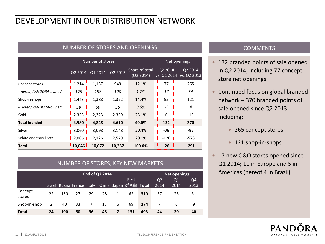### DEVELOPMENT IN OUR DISTRIBUTION NETWORK

### NUMBER OF STORES AND OPENINGS **COMMENTS**

|                         |               | Number of stores | Net openings |                             |                        |                        |
|-------------------------|---------------|------------------|--------------|-----------------------------|------------------------|------------------------|
|                         | Q2 2014       | Q1 2014          | Q2 2013      | Share of total<br>(Q2 2014) | Q2 2014<br>vs. Q1 2014 | Q2 2014<br>vs. Q2 2013 |
| Concept stores          | 1,214         | 1,137            | 949          | 12.1%                       | 77                     | 265                    |
| - Hereof PANDORA-owned  | 175           | 158              | 120          | 1.7%                        | 17                     | 54                     |
| Shop-in-shops           | 1,443         | 1,388            | 1,322        | 14.4%                       | 55                     | 121                    |
| - Hereof PANDORA-owned  | 59            | 60               | 55           | 0.6%                        | ı<br>$-1$              | 4                      |
| Gold                    | 2,323         | 2,323            | 2,339        | 23.1%                       | $\Omega$               | -16                    |
| <b>Total branded</b>    | 4,980         | 4,848            | 4,610        | 49.6%                       | 132                    | 370                    |
| Silver                  | 3,060         | 3,098            | 3,148        | 30.4%                       | $-38$                  | -88                    |
| White and travel retail | $\vert$ 2,006 | 2,126            | 2,579        | 20.0%                       | $-120$                 | $-573$                 |
| <b>Total</b>            | 10,046        | 10.072           | 10,337       | 100.0%                      | $-26$                  | $-291$                 |

#### NUMBER OF STORES, KEY NEW MARKETS

| End of Q2 2014    |      |     |                            |    |    |   | <b>Net openings</b>       |                |      |      |      |
|-------------------|------|-----|----------------------------|----|----|---|---------------------------|----------------|------|------|------|
|                   | Rest |     |                            |    |    |   | Q <sub>2</sub>            | Q <sub>1</sub> | Q4   |      |      |
|                   |      |     | Brazil Russia France Italy |    |    |   | China Japan of Asia Total |                | 2014 | 2014 | 2013 |
| Concept<br>stores | 22   | 150 | 27                         | 29 | 28 | 1 | 62                        | 319            | 37   | 23   | 31   |
| Shop-in-shop      | 2    | 40  | 33                         | 7  | 17 | 6 | 69                        | 174            |      | 6    | 9    |
| <b>Total</b>      | 24   | 190 | 60                         | 36 | 45 |   | 131                       | 493            | 44   | 29   | 40   |

- 132 branded points of sale opened in Q2 2014, including 77 concept store net openings
- Continued focus on global branded network – 370 branded points of sale opened since Q2 2013 including:
	- 265 concept stores
	- 121 shop-in-shops
- 17 new O&O stores opened since Q1 2014; 11 in Europe and 5 in Americas (hereof 4 in Brazil)

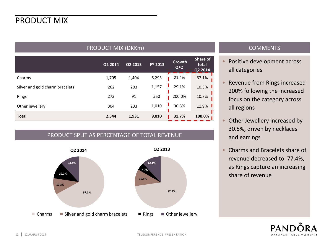### PRODUCT MIX

| <b>PRODUCT MIX (DKKm)</b>       |         |         |         |                      |                              |  |  |
|---------------------------------|---------|---------|---------|----------------------|------------------------------|--|--|
|                                 | Q2 2014 | Q2 2013 | FY 2013 | <b>Growth</b><br>Q/Q | Share of<br>total<br>Q2 2014 |  |  |
| Charms                          | 1,705   | 1,404   | 6,293   | 21.4%                | 67.1%                        |  |  |
| Silver and gold charm bracelets | 262     | 203     | 1,157   | 29.1%                | 10.3%                        |  |  |
| Rings                           | 273     | 91      | 550     | 200.0%               | 10.7%                        |  |  |
| Other jewellery                 | 304     | 233     | 1,010   | 30.5%                | 11.9%                        |  |  |
| <b>Total</b>                    | 2,544   | 1,931   | 9,010   | 31.7%                | 100.0%                       |  |  |

### PRODUCT SPLIT AS PERCENTAGE OF TOTAL REVENUE



- Positive development across all categories
- Revenue from Rings increased 200% following the increased focus on the category across all regions
- Other Jewellery increased by 30.5%, driven by necklaces and earrings
- Charms and Bracelets share of revenue decreased to 77.4%, as Rings capture an increasing share of revenue

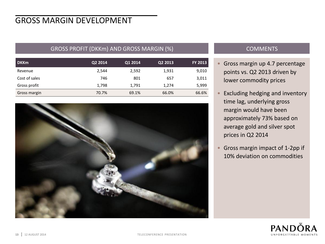### GROSS MARGIN DEVELOPMENT

#### GROSS PROFIT (DKKm) AND GROSS MARGIN (%)

| <b>DKKm</b>   | Q2 2014 | Q1 2014 | Q2 2013 | FY 2013 |
|---------------|---------|---------|---------|---------|
| Revenue       | 2,544   | 2,592   | 1,931   | 9,010   |
| Cost of sales | 746     | 801     | 657     | 3,011   |
| Gross profit  | 1,798   | 1,791   | 1.274   | 5,999   |
| Gross margin  | 70.7%   | 69.1%   | 66.0%   | 66.6%   |



- Gross margin up 4.7 percentage points vs. Q2 2013 driven by lower commodity prices
- Excluding hedging and inventory time lag, underlying gross margin would have been approximately 73% based on average gold and silver spot prices in Q2 2014
- Gross margin impact of 1-2pp if 10% deviation on commodities

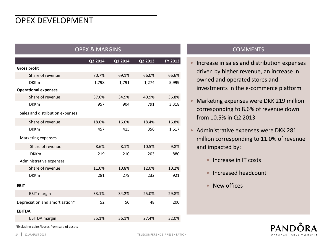### OPEX DEVELOPMENT

| <b>OPEX &amp; MARGINS</b>       |         |         |         |         |  |  |  |
|---------------------------------|---------|---------|---------|---------|--|--|--|
|                                 | Q2 2014 | Q1 2014 | Q2 2013 | FY 2013 |  |  |  |
| <b>Gross profit</b>             |         |         |         |         |  |  |  |
| Share of revenue                | 70.7%   | 69.1%   | 66.0%   | 66.6%   |  |  |  |
| <b>DKKm</b>                     | 1,798   | 1,791   | 1,274   | 5,999   |  |  |  |
| <b>Operational expenses</b>     |         |         |         |         |  |  |  |
| Share of revenue                | 37.6%   | 34.9%   | 40.9%   | 36.8%   |  |  |  |
| <b>DKKm</b>                     | 957     | 904     | 791     | 3,318   |  |  |  |
| Sales and distribution expenses |         |         |         |         |  |  |  |
| Share of revenue                | 18.0%   | 16.0%   | 18.4%   | 16.8%   |  |  |  |
| <b>DKKm</b>                     | 457     | 415     | 356     | 1,517   |  |  |  |
| Marketing expenses              |         |         |         |         |  |  |  |
| Share of revenue                | 8.6%    | 8.1%    | 10.5%   | 9.8%    |  |  |  |
| <b>DKKm</b>                     | 219     | 210     | 203     | 880     |  |  |  |
| Administrative expenses         |         |         |         |         |  |  |  |
| Share of revenue                | 11.0%   | 10.8%   | 12.0%   | 10.2%   |  |  |  |
| <b>DKKm</b>                     | 281     | 279     | 232     | 921     |  |  |  |
| <b>EBIT</b>                     |         |         |         |         |  |  |  |
| <b>EBIT margin</b>              | 33.1%   | 34.2%   | 25.0%   | 29.8%   |  |  |  |
| Depreciation and amortisation*  | 52      | 50      | 48      | 200     |  |  |  |
| <b>EBITDA</b>                   |         |         |         |         |  |  |  |
| <b>EBITDA</b> margin            | 35.1%   | 36.1%   | 27.4%   | 32.0%   |  |  |  |

#### **COMMENTS**

- Increase in sales and distribution expenses driven by higher revenue, an increase in owned and operated stores and investments in the e-commerce platform
- Marketing expenses were DKK 219 million corresponding to 8.6% of revenue down from 10.5% in Q2 2013
- Administrative expenses were DKK 281 million corresponding to 11.0% of revenue and impacted by:
	- Increase in IT costs
	- Increased headcount
	- New offices



\*Excluding gains/losses from sale of assets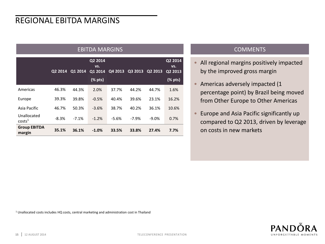### REGIONAL EBITDA MARGINS

| <b>EBITDA MARGINS</b>             |         |         |                                                       |         |         |         |                                      |
|-----------------------------------|---------|---------|-------------------------------------------------------|---------|---------|---------|--------------------------------------|
|                                   | Q2 2014 | Q1 2014 | Q2 2014<br>VS.<br>Q1 2014<br>$(% \mathbf{A})$ (% pts) | Q4 2013 | Q3 2013 | Q2 2013 | Q2 2014<br>VS.<br>Q2 2013<br>(% pts) |
| Americas                          | 46.3%   | 44.3%   | 2.0%                                                  | 37.7%   | 44.2%   | 44.7%   | 1.6%                                 |
| Europe                            | 39.3%   | 39.8%   | $-0.5%$                                               | 40.4%   | 39.6%   | 23.1%   | 16.2%                                |
| Asia Pacific                      | 46.7%   | 50.3%   | $-3.6%$                                               | 38.7%   | 40.2%   | 36.1%   | 10.6%                                |
| Unallocated<br>costs <sup>1</sup> | $-8.3%$ | $-7.1%$ | $-1.2%$                                               | $-5.6%$ | $-7.9%$ | $-9.0%$ | 0.7%                                 |
| <b>Group EBITDA</b><br>margin     | 35.1%   | 36.1%   | $-1.0%$                                               | 33.5%   | 33.8%   | 27.4%   | 7.7%                                 |

#### **COMMENTS**

- All regional margins positively impacted by the improved gross margin
- Americas adversely impacted (1 percentage point) by Brazil being moved from Other Europe to Other Americas
- Europe and Asia Pacific significantly up compared to Q2 2013, driven by leverage on costs in new markets

 $1$  Unallocated costs includes HQ costs, central marketing and administration cost in Thailand

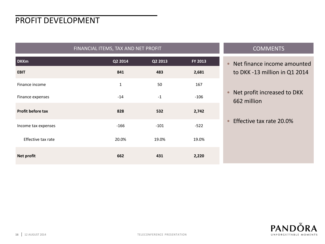### PROFIT DEVELOPMENT

| FINANCIAL ITEMS, TAX AND NET PROFIT |             |         |         |  |  |  |  |
|-------------------------------------|-------------|---------|---------|--|--|--|--|
| <b>DKKm</b>                         | Q2 2014     | Q2 2013 | FY 2013 |  |  |  |  |
| <b>EBIT</b>                         | 841         | 483     | 2,681   |  |  |  |  |
| Finance income                      | $\mathbf 1$ | 50      | 167     |  |  |  |  |
| Finance expenses                    | $-14$       | $-1$    | $-106$  |  |  |  |  |
| <b>Profit before tax</b>            | 828         | 532     | 2,742   |  |  |  |  |
| Income tax expenses                 | $-166$      | $-101$  | $-522$  |  |  |  |  |
| Effective tax rate                  | 20.0%       | 19.0%   | 19.0%   |  |  |  |  |
| <b>Net profit</b>                   | 662         | 431     | 2,220   |  |  |  |  |

- Net finance income amounted to DKK -13 million in Q1 2014
- Net profit increased to DKK 662 million
- Effective tax rate 20.0%

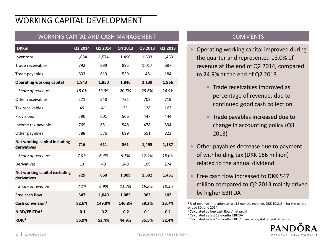### WORKING CAPITAL DEVELOPMENT

#### WORKING CAPITAL AND CASH MANAGEMENT **COMMENTS**

| <b>DKKm</b>                                  | Q2 2014 | Q1 2014 | Q4 2013 | Q3 2013 | Q2 2013 |
|----------------------------------------------|---------|---------|---------|---------|---------|
| Inventory                                    | 1,684   | 1,574   | 1,490   | 1.603   | 1,463   |
| Trade receivables                            | 792     | 889     | 895     | 1.017   | 687     |
| Trade payables                               | 633     | 613     | 539     | 481     | 184     |
| <b>Operating working capital</b>             | 1,843   | 1,850   | 1,846   | 2,139   | 1,966   |
| Share of revenue <sup>1</sup>                | 18.0%   | 19.3%   | 20.5%   | 25.6%   | 24.9%   |
| Other receivables                            | 571     | 548     | 731     | 702     | 719     |
| Tax receivables                              | 49      | 41      | 35      | 128     | 163     |
| Provisions                                   | 590     | 601     | 506     | 447     | 444     |
| Income tax payable                           | 769     | 651     | 546     | 478     | 394     |
| Other payables                               | 388     | 576     | 699     | 551     | 823     |
| Net working capital including<br>derivatives | 716     | 611     | 861     | 1,493   | 1,187   |
| Share of revenue <sup>1</sup>                | 7.0%    | 6.4%    | 9.6%    | 17.9%   | 15.0%   |
| <b>Derivatives</b>                           | 13      | 49      | 148     | 109     | 274     |
| Net working capital excluding<br>derivatives | 729     | 660     | 1,009   | 1,602   | 1,461   |
| Share of revenue <sup>1</sup>                | 7.1%    | 6.9%    | 11.2%   | 19.2%   | 18.5%   |
| Free cash flow                               | 547     | 1,049   | 1,085   | 363     | 102     |
| Cash conversion <sup>2</sup>                 | 82.6%   | 149.0%  | 146.8%  | 59.3%   | 23.7%   |
| NIBD/EBITDA <sup>3</sup>                     | $-0.1$  | $-0.2$  | $-0.2$  | 0.1     | 0.1     |
| ROIC <sup>4</sup>                            | 56.9%   | 52.4%   | 44.9%   | 35.5%   | 32.4%   |

- Operating working capital improved during the quarter and represented 18.0% of revenue at the end of Q2 2014, compared to 24.9% at the end of Q2 2013
	- Trade receivables improved as percentage of revenue, due to continued good cash collection
	- Trade payables increased due to change in accounting policy (Q3 2013)
- Other payables decrease due to payment of withholding tax (DKK 186 million) related to the annual dividend
- Free cash flow increased to DKK 547 million compared to Q2 2013 mainly driven by higher EBITDA

<sup>1</sup>% of revenue in relation to last 12 months revenue. DKK 10,213m for the period ended 30 June 2014

<sup>2</sup>Calculated as free cash flow / net profit

<sup>3</sup> Calculated as last 12 months EBITDA

<sup>4</sup>Calculated as last 12 months EBIT / Invested capital (at end of period)

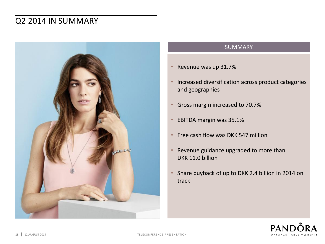### Q2 2014 IN SUMMARY



### SUMMARY

- Revenue was up 31.7%
- Increased diversification across product categories and geographies
- Gross margin increased to 70.7%
- EBITDA margin was 35.1%
- Free cash flow was DKK 547 million
- Revenue guidance upgraded to more than DKK 11.0 billion
- Share buyback of up to DKK 2.4 billion in 2014 on track